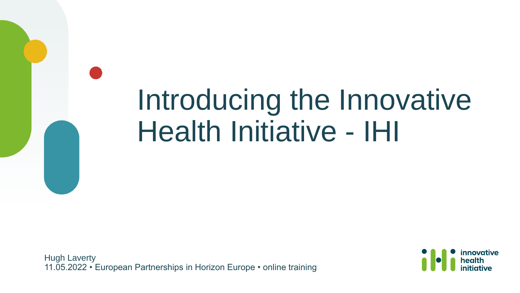# Introducing the Innovative Health Initiative - IHI

Hugh Laverty 11.05.2022 • European Partnerships in Horizon Europe • online training

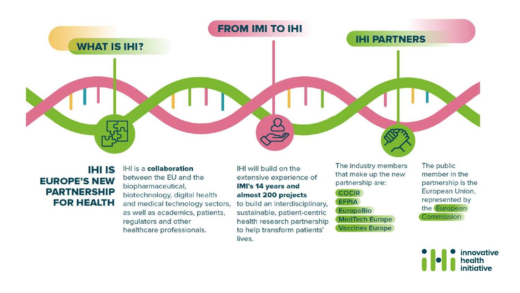

**IHI IS EUROPE'S NEW PARTNERSHIP FOR HEALTH**  IHI is a collaboration between the EU and the biopharmaceutical, biotechnology, digital health and medical technology sectors, as well as academics, patients, regulators and other healthcare professionals.

#### IHI will build on the extensive experience of **IMI's 14 years and** almost 200 projects

to build an interdisciplinary, sustainable, patient-centric health research partnership to help transform patients' lives.

The industry members that make up the new partnership are:

#### **COCIR**

**EFPIA** 

#### **EuropaBio**

**MedTech Europe Vaccines Europe** 

The public member in the partnership is the European Union, represented by the European Commission

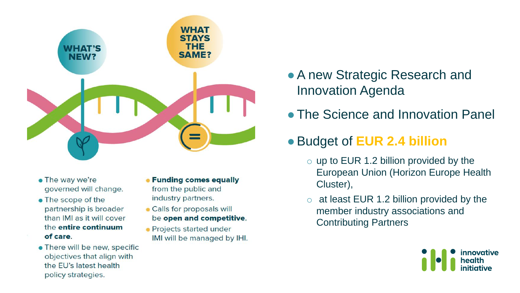

- The way we're governed will change.
- The scope of the partnership is broader than IMI as it will cover the entire continuum of care.
- There will be new, specific objectives that align with the EU's latest health policy strategies.
- Funding comes equally from the public and industry partners.
- Calls for proposals will be open and competitive.
- Projects started under IMI will be managed by IHI.
- A new Strategic Research and Innovation Agenda
- The Science and Innovation Panel

#### ●Budget of **EUR 2.4 billion**

- $\circ$  up to EUR 1.2 billion provided by the European Union (Horizon Europe Health Cluster),
- $\circ$  at least EUR 1.2 billion provided by the member industry associations and Contributing Partners

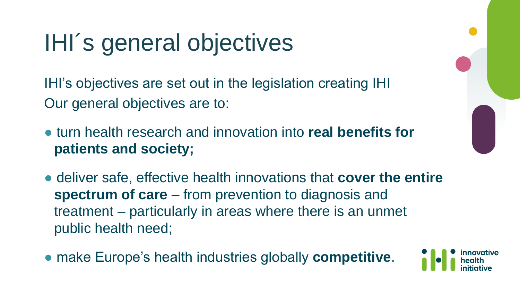# IHI´s general objectives

IHI's objectives are set out in the legislation creating IHI Our general objectives are to:

- turn health research and innovation into **real benefits for patients and society;**
- deliver safe, effective health innovations that **cover the entire spectrum of care** – from prevention to diagnosis and treatment – particularly in areas where there is an unmet public health need;
- make Europe's health industries globally **competitive**.

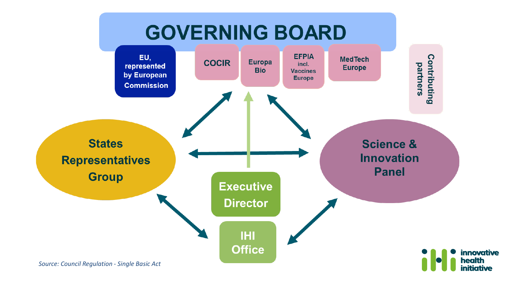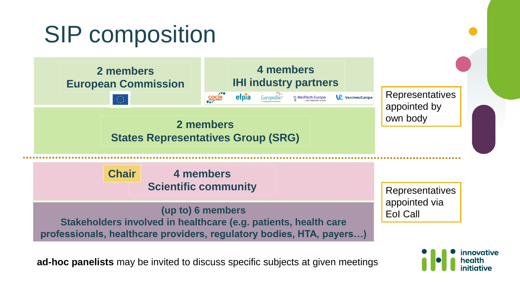## SIP composition



**ad-hoc panelists** may be invited to discuss specific subjects at given meetings

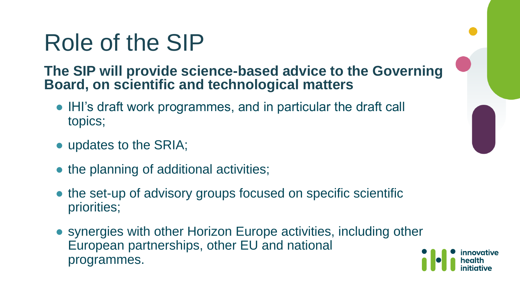## Role of the SIP

#### **The SIP will provide science-based advice to the Governing Board, on scientific and technological matters**

- IHI's draft work programmes, and in particular the draft call topics;
- updates to the SRIA;
- the planning of additional activities;
- the set-up of advisory groups focused on specific scientific priorities;
- synergies with other Horizon Europe activities, including other European partnerships, other EU and national programmes.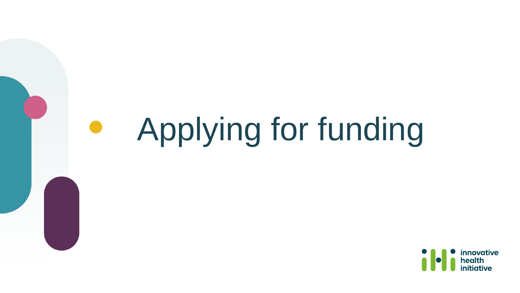#### Applying for funding

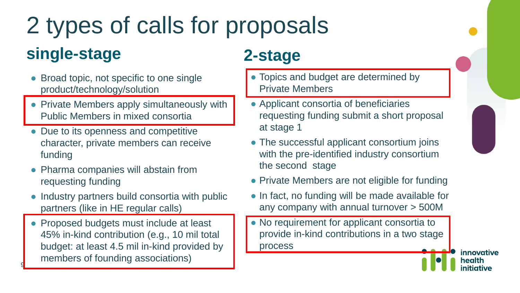## 2 types of calls for proposals **single-stage 2-stage**

- Broad topic, not specific to one single product/technology/solution
- Private Members apply simultaneously with Public Members in mixed consortia
- Due to its openness and competitive character, private members can receive funding
- Pharma companies will abstain from requesting funding
- Industry partners build consortia with public partners (like in HE regular calls)
- Proposed budgets must include at least 45% in-kind contribution (e.g., 10 mil total budget: at least 4.5 mil in-kind provided by members of founding associations)

9

- Topics and budget are determined by Private Members
- Applicant consortia of beneficiaries requesting funding submit a short proposal at stage 1
- The successful applicant consortium joins with the pre-identified industry consortium the second stage
- Private Members are not eligible for funding
- In fact, no funding will be made available for any company with annual turnover > 500M
- No requirement for applicant consortia to provide in-kind contributions in a two stage process

innovative health nitiative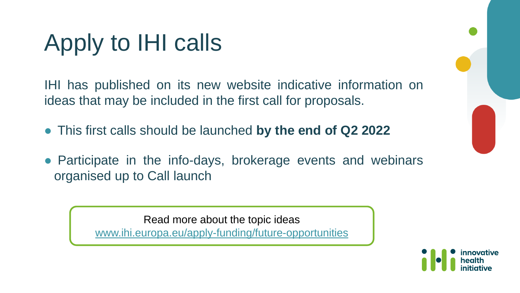# Apply to IHI calls

IHI has published on its new website indicative information on ideas that may be included in the first call for proposals.

- This first calls should be launched **by the end of Q2 2022**
- Participate in the info-days, brokerage events and webinars organised up to Call launch

Read more about the topic ideas [www.ihi.europa.eu/apply-funding/future-opportunities](http://www.ihi.europa.eu/apply-funding/future-opportunities)

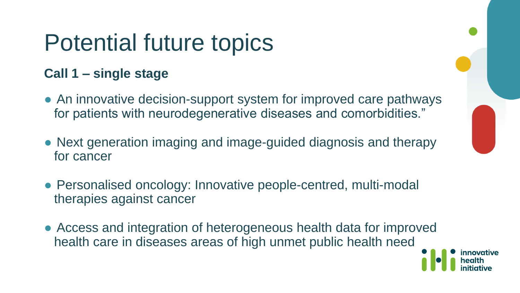## Potential future topics

#### **Call 1 – single stage**

- An innovative decision-support system for improved care pathways for patients with neurodegenerative diseases and comorbidities."
- Next generation imaging and image-guided diagnosis and therapy for cancer
- Personalised oncology: Innovative people-centred, multi-modal therapies against cancer
- Access and integration of heterogeneous health data for improved health care in diseases areas of high unmet public health need

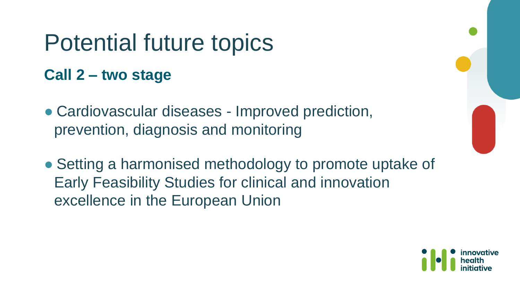## Potential future topics

#### **Call 2 – two stage**

- Cardiovascular diseases Improved prediction, prevention, diagnosis and monitoring
- Setting a harmonised methodology to promote uptake of Early Feasibility Studies for clinical and innovation excellence in the European Union

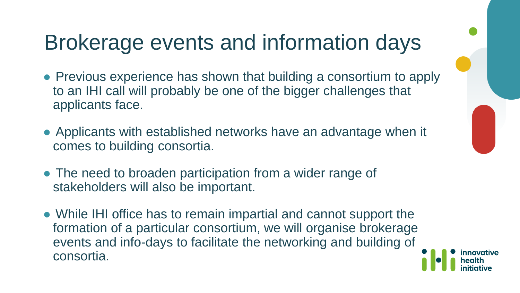### Brokerage events and information days

- Previous experience has shown that building a consortium to apply to an IHI call will probably be one of the bigger challenges that applicants face.
- Applicants with established networks have an advantage when it comes to building consortia.
- The need to broaden participation from a wider range of stakeholders will also be important.
- While IHI office has to remain impartial and cannot support the formation of a particular consortium, we will organise brokerage events and info-days to facilitate the networking and building of consortia.

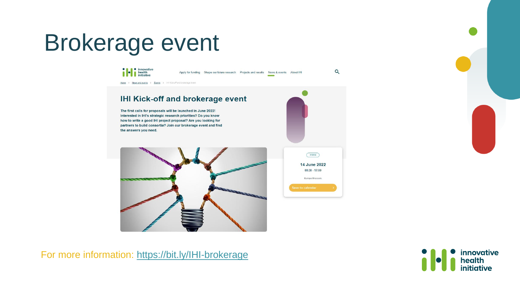## Brokerage event



For more information:<https://bit.ly/IHI-brokerage>

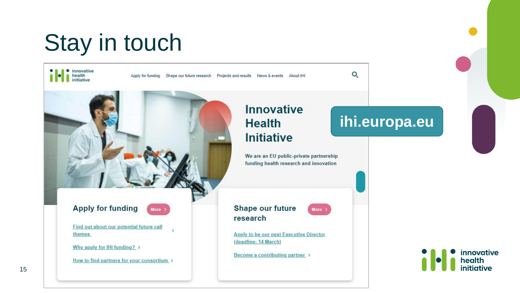## Stay in touch

· innovative health initiative

Apply for funding Shape our future research Projects and results News & events About IHI

**Apply for funding More** 

Find out about our potential future call themes

Why apply for IHI funding? >

How to find partners for your consortium

#### **Innovative Health Initiative**

We are an EU public-private partnership funding health research and innovation

More  $\rightarrow$ 

**Shape our future** research

**Apply to be our next Executive Director** (deadline: 14 March)

Become a contributing partner >

#### **ihi.europa.eu**

 $\alpha$ 

innovative health initiative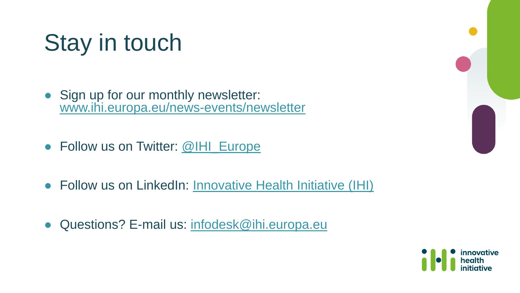# Stay in touch

- Sign up for our monthly newsletter: [www.ihi.europa.eu/news-events/newsletter](https://www.ihi.europa.eu/news-events/newsletter)
- Follow us on Twitter: [@IHI\\_Europe](https://twitter.com/IHIEurope)
- Follow us on LinkedIn: [Innovative Health Initiative \(IHI\)](https://www.linkedin.com/company/innovative-health-initiative/)
- Questions? E-mail us: [infodesk@ihi.europa.eu](mailto:infodesk@ihi.europa.eu)